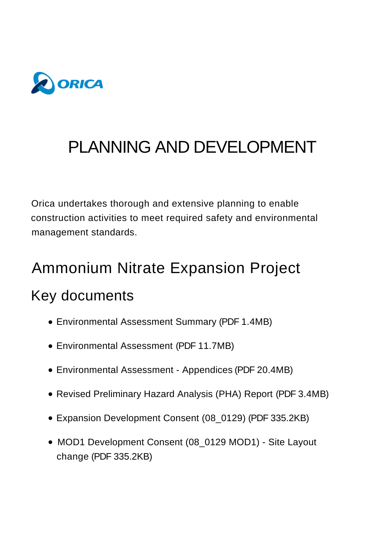

# PLANNING AND DEVELOPMENT

Orica undertakes thorough and extensive planning to enable construction activities to meet required safety and environmental management standards.

# Ammonium Nitrate Expansion Project

### Key documents

- [Environmental Assessment Summary \(PDF](https://www.orica.com/ArticleDocuments/493/2009_Orica-KI_EA_summary.pdf.aspx) 1.4MB)
- [Environmental Assessment \(PDF](https://www.orica.com/ArticleDocuments/493/Orica_KI_S6065303_FinalEA_1June09.pdf.aspx) 11.7MB)
- [Environmental Assessment Appendices \(PDF](https://www.orica.com/ArticleDocuments/493/Orica_KI_S6065303_FinalEA_Compiled-Appendices_1June09.pdf.aspx) 20.4MB)
- [Revised Preliminary Hazard Analysis \(PHA\) Report \(PDF](https://www.orica.com/ArticleDocuments/493/2012_Orica-KI_revised_PHA.pdf.aspx) 3.4MB)
- Expansion [Development Consent \(08\\_0129\) \(PDF](https://www.orica.com/ArticleDocuments/493/2009_Orica-KI_Development_Consent.pdf.aspx) 335.2KB)
- [MOD1 Development Consent \(08\\_0129 MOD1\) Site Layout](https://www.orica.com/ArticleDocuments/493/Development%20Consent%20MOD1.pdf.aspx) change (PDF 335.2KB)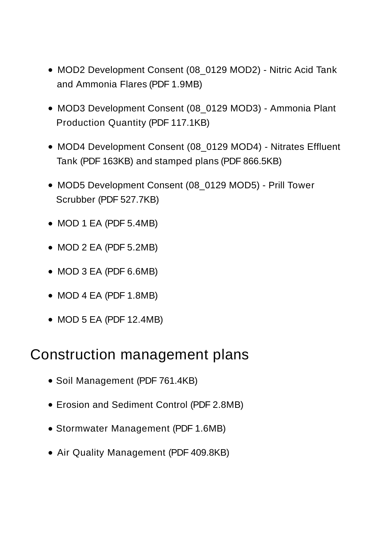- MOD2 Development Consent (08 0129 MOD2) Nitric Acid Tank and Ammonia Flares (PDF 1.9MB)
- MOD3 Development Consent (08 0129 MOD3) Ammonia Plant Production Quantity (PDF 117.1KB)
- MOD4 Development Consent (08 0129 MOD4) Nitrates Effluent Tank (PDF 163KB) and [stamped plans \(PDF](https://www.orica.com/ArticleDocuments/493/MP_08_0129%20-%20Mod%204%20-%20Stamped%20Plans.pdf.aspx) 866.5KB)
- MOD5 Development Consent (08 0129 MOD5) Prill Tower Scrubber (PDF 527.7KB)
- [MOD 1 EA \(PDF](https://www.orica.com/ArticleDocuments/493/EA%20Modification%20Report_Final%20DoP%20Submitted.pdf.aspx) 5.4MB)
- [MOD 2 EA \(PDF](https://www.orica.com/ArticleDocuments/493/60304607_Orica_Acid_Combined_MOD_13_11_13_FINAL_rev%201.pdf.aspx) 5.2MB)
- [MOD 3 EA \(PDF](https://www.orica.com/ArticleDocuments/493/20150428_Orica-Ammonia-Production-Increase-MOD-EA.pdf.aspx) 6.6MB)
- [MOD 4 EA \(PDF](https://www.orica.com/ArticleDocuments/493/210310_EA%20-%20Nitrates%20Effluent%20Tank%20Project%20FINAL.pdf.aspx) 1.8MB)
- [MOD 5 EA \(PDF](https://www.orica.com/ArticleDocuments/493/210809~1.PDF.aspx) 12.4MB)

#### Construction management plans

- [Soil Management \(PDF](https://www.orica.com/ArticleDocuments/493/2010_Orica-KI_soil_management_plan.pdf.aspx) 761.4KB)
- [Erosion and Sediment Control \(PDF](https://www.orica.com/ArticleDocuments/493/2010_Orica-KI_erosion_sediment_management_plan.pdf.aspx) 2.8MB)
- [Stormwater Management \(PDF](https://www.orica.com/ArticleDocuments/493/2010_Orica-KI_stormwater_management_plan.pdf.aspx) 1.6MB)
- [Air Quality Management \(PDF](https://www.orica.com/ArticleDocuments/493/88850_Rev0_15Jan10.pdf.aspx) 409.8KB)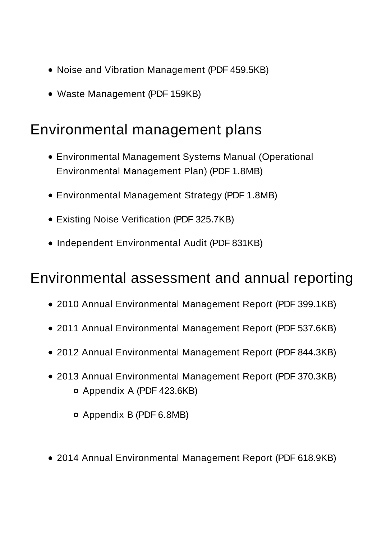- [Noise and Vibration Management \(PDF](https://www.orica.com/ArticleDocuments/493/NMP%20FINAL%20Sept%202021_.pdf.aspx) 459.5KB)
- [Waste Management \(PDF](https://www.orica.com/ArticleDocuments/493/Ammonia%20Plant%20Uprate%20Waste%20Management%20Plan_Rev0.pdf.aspx) 159KB)

#### Environmental management plans

- [Environmental Management Systems Manual \(Operational](https://www.orica.com/ArticleDocuments/493/EMS%20Manual_KI%20(OEMP)_V9%20June%202020.pdf.aspx) Environmental Management Plan) (PDF 1.8MB)
- [Environmental Management Strategy \(PDF](https://www.orica.com/ArticleDocuments/493/2010_Orica-KI_environmental_management_strategy.pdf.aspx) 1.8MB)
- [Existing Noise Verification \(PDF](https://www.orica.com/ArticleDocuments/493/2010_Orica-KI_existing_operations_noise_verification_program.pdf.aspx) 325.7KB)
- [Independent Environmental Audit \(PDF](https://www.orica.com/ArticleDocuments/493/610.13459%20Orica%20KI%20Independent%20Environmental%20Compliance%20Report%20Final%2020140324.pdf.aspx) 831KB)

#### Environmental assessment and annual reporting

- [2010 Annual Environmental Management Report \(PDF](https://www.orica.com/ArticleDocuments/493/2010_Orica-KI_annual_environmental_management_report.pdf.aspx) 399.1KB)
- [2011 Annual Environmental Management Report \(PDF](https://www.orica.com/ArticleDocuments/493/2011_Orica-KI_annual_environmental_management_report.pdf.aspx) 537.6KB)
- [2012 Annual Environmental Management Report \(PDF](https://www.orica.com/ArticleDocuments/493/2012_Orica-KI_annual_environmental_management_report.pdf.aspx) 844.3KB)
- [2013 Annual Environmental Management Report \(PDF](https://www.orica.com/ArticleDocuments/493/Annual%20Environmental%20Management%20Report_December%202013_Final.pdf.aspx) 370.3KB) [Appendix A \(PDF](https://www.orica.com/ArticleDocuments/493/Appendix%20A.pdf.aspx) 423.6KB)
	- [Appendix B \(PDF](https://www.orica.com/ArticleDocuments/493/Appendix%20B%20reduced.pdf.aspx) 6.8MB)
- [2014 Annual Environmental Management Report \(PDF](https://www.orica.com/ArticleDocuments/493/Annual%20Environmental%20Management%20Report_December%202014_Final.pdf.aspx) 618.9KB)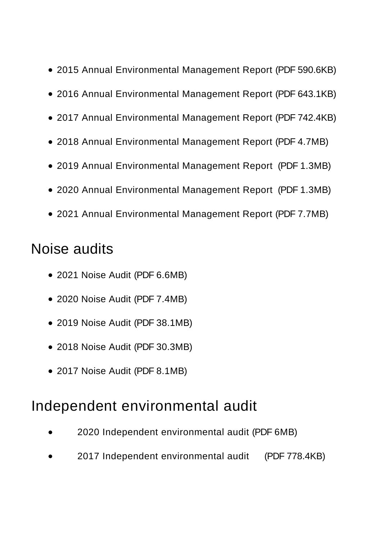- [2015 Annual Environmental Management Report \(PDF](https://www.orica.com/ArticleDocuments/493/Annual%20Environmental%20Management%20Report_December%202015_Final_Rev1.pdf.aspx) 590.6KB)
- [2016 Annual Environmental Management Report](https://www.orica.com/ArticleDocuments/493/Annual%20Environmental%20Management%20Report_December%202016_Final_rev%201.pdf.aspx) (PDF [643.1KB\)](https://www.orica.com/ArticleDocuments/493/Annual%20Environmental%20Management%20Report_December%202016_Final_rev%201.pdf.aspx)
- [2017 Annual Environmental Management Report \(PDF](https://www.orica.com/ArticleDocuments/493/Annual%20Environmental%20Management%20Report_December%202017_Rev1.pdf.aspx) 742.4KB)
- [2018 Annual Environmental Management Report \(PDF](https://www.orica.com/ArticleDocuments/493/2018%20Annual%20Enviromental%20Management%20Report_Final.pdf.aspx) 4.7MB)
- [2019 Annual Environmental Management Report \(PDF](https://www.orica.com/ArticleDocuments/493/2019%20AEMR%20Final.pdf.aspx) 1.3MB)
- [2020 Annual Environmental Mana](https://www.orica.com/ArticleDocuments/493/SSD%2008_0129%20Condition%2050%202020%20AEMR%20FINAL.pdf.aspx)gement Report (PDF 1.3MB)
- [2021 Annual Environmental Management Report \(PDF](https://www.orica.com/ArticleDocuments/493/211220%20SSD%2008_0129%20Condition%2050%202021%20AEMR.pdf.aspx) 7.7MB)

### Noise audits

- [2021 Noise Audit \(PDF](https://www.orica.com/ArticleDocuments/493/2021%20Noise%20Audit%20Report.pdf.aspx) 6.6MB)
- [2020 Noise Audit \(PDF](https://www.orica.com/ArticleDocuments/493/2020%20Noise%20Audit%20Report.pdf.aspx) 7.4MB)
- [2019 Noise Audit \(PDF](https://www.orica.com/ArticleDocuments/493/2019%20Noise%20Audit.pdf.aspx) 38.1MB)
- [2018 Noise Audit \(PDF](https://www.orica.com/ArticleDocuments/493/2018.pdf.aspx) 30.3MB)
- [2017 Noise Audit \(PDF](https://www.orica.com/ArticleDocuments/493/2017.pdf.aspx) 8.1MB)

### Independent environmental audit

- [2020 Independent environmental audit \(PDF](https://www.orica.com/ArticleDocuments/493/2020%20Orica_Kooragang_IEA_Report_Final%20SSD7831.pdf.aspx) 6MB)
- 2017 Independent environmental audit (PDF 778.4KB)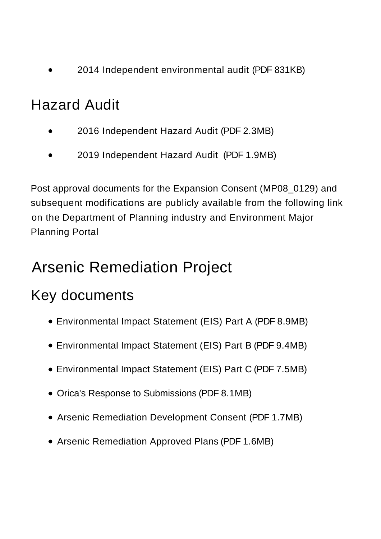[2014 Independent environmental audit \(PDF](https://www.orica.com/ArticleDocuments/493/610.13459%20Orica%20KI%20Independent%20Environmental%20Compliance%20Report%20Final%2020140324.pdf.aspx) 831KB)

### Hazard Audit

- [2016 Independent Hazard Audit \(PDF](https://www.orica.com/ArticleDocuments/493/Project%20Approval%20(08_0129)%20Condition%2020_Hazard%20Audit%20-%202016%20Hazard%20Audit%20Report%2021065-RP-001%20Rev%200.pdf.aspx) 2.3MB)
- [2019 Independent Hazard Audit \(PDF](https://www.orica.com/ArticleDocuments/493/21356-RP-001%20Rev%200.pdf.aspx) 1.9MB)

Post approval documents for the Expansion Consent (MP08\_0129) and subsequent modifications are publicly available from the following link on the [Department of Planning industry and Environment Major](https://www.planningportal.nsw.gov.au/major-projects/project/21686) Planning Portal

# Arsenic Remediation Project

# Key documents

- [Environmental Impact Statement \(EIS\) Part A \(PDF](https://www.orica.com/ArticleDocuments/497/2017-02-24%20PART%20A%201418917_063_R_Rev2_a_.pdf.aspx) 8.9MB)
- [Environmental Impact Statement \(EIS\) Part B \(PDF](https://www.orica.com/ArticleDocuments/497/2017-02-24%20PART%20B%201418917_063_R_REV2.pdf.aspx) 9.4MB)
- [Environmental Impact Statement \(EIS\) Part C \(PDF](https://www.orica.com/ArticleDocuments/497/2017-02-24%20PART%20C%201418917_063_R_REV2.pdf.aspx) 7.5MB)
- [Orica's Response to Submissions \(PDF](https://www.orica.com/ArticleDocuments/497/Orica%20Response%20to%20Submissions%20Report_Final%20with%20Attachments.pdf.aspx) 8.1MB)
- [Arsenic Remediation Development Consent \(PDF](https://www.orica.com/ArticleDocuments/497/SSD%207831_%20Kooragang%20Island%20Arsenic%20Remediation%20Project_%20Final%20Signed%20Consent%20.pdf.aspx) 1.7MB)
- [Arsenic Remediation Approved Plans \(PDF](https://www.orica.com/ArticleDocuments/497/Signed%20Approved%20Plans.pdf.aspx) 1.6MB)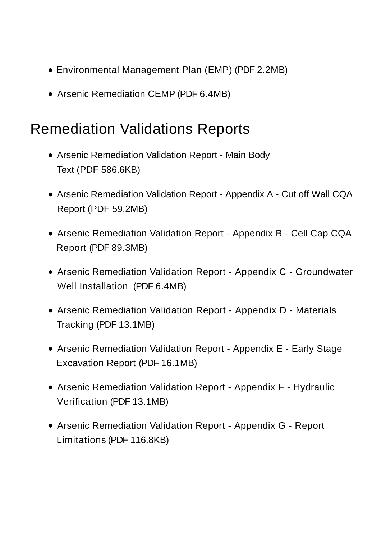- [Environmental Management Plan \(EMP\) \(PDF](https://www.orica.com/ArticleDocuments/497/EMP.pdf.aspx) 2.2MB)
- [Arsenic Remediation CEMP \(PDF](https://www.orica.com/ArticleDocuments/497/Orica%20CEMP_Rpt_Env_0.pdf.aspx) 6.4MB)

### Remediation Validations Reports

- [Arsenic Remediation Validation Report Main Body](https://www.orica.com/ArticleDocuments/497/18106662-034-R-Rev1_RVR_Text%20Only.pdf.aspx) Text (PDF 586.6KB)
- [Arsenic Remediation Validation Report Appendix A Cut off Wall CQA](https://www.orica.com/ArticleDocuments/497/Appendix%20A%20-%2018106662-015-R-Rev2-Soil-Bentonite%20Cut-off%20Wall%20CQA%20Report.pdf.aspx) Report (PDF 59.2MB)
- [Arsenic Remediation Validation Report Appendix B Cell Cap CQA](https://www.orica.com/ArticleDocuments/497/Appendix%20B%20-%2018106662-035-R-Rev1-Arsenic%20Remediation%20Capping%20CQA%20Report%20(2).pdf.aspx) Report (PDF 89.3MB)
- [Arsenic Remediation Validation Report Appendix C Groundwater](https://www.orica.com/ArticleDocuments/497/Appendix%20C%20-%20Well%20Installation.pdf.aspx) Well Installation (PDF 6.4MB)
- [Arsenic Remediation Validation Report Appendix D Materials](https://www.orica.com/ArticleDocuments/497/Appendix%20D%20-%20Materials%20Tracking.pdf.aspx) Tracking (PDF 13.1MB)
- [Arsenic Remediation Validation Report Appendix E Early Stage](https://www.orica.com/ArticleDocuments/497/Appendix%20E%20-%20Early%20Stage%20Excavation%20Report.pdf.aspx) Excavation Report (PDF 16.1MB)
- [Arsenic Remediation Validation Report Appendix F Hydraulic](https://www.orica.com/ArticleDocuments/497/Appendix%20F%20-%20Hydraulic%20Verification.pdf.aspx) Verification (PDF 13.1MB)
- [Arsenic Remediation Validation Report Appendix G Report](https://www.orica.com/ArticleDocuments/497/Appendix%20G%20-%20Important%20Information.pdf.aspx) Limitations (PDF 116.8KB)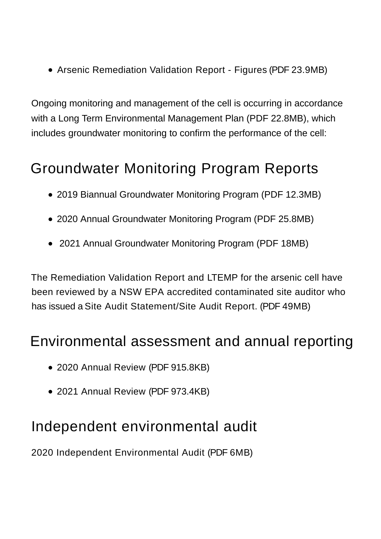[Arsenic Remediation Validation Report - Figures \(PDF](https://www.orica.com/ArticleDocuments/497/Figures.pdf.aspx) 23.9MB)

Ongoing monitoring and management of the cell is occurring in accordance with a [Long Term Environmental Management Plan \(PDF](https://www.orica.com/ArticleDocuments/497/18106662-019-R-Rev1_LTEMP.pdf.aspx) 22.8MB), which includes groundwater monitoring to confirm the performance of the cell:

### Groundwater Monitoring Program Reports

- [2019 Biannual Groundwater Monitoring Program \(PDF](https://www.orica.com/ArticleDocuments/497/1907%20GMP%20-%20Arsenic%20Cell.pdf.aspx) 12.3MB)
- [2020 Annual Groundwater Monitoring Program \(PDF](https://www.orica.com/ArticleDocuments/497/2003%20GMP%20-%20Arsenic%20Cell.pdf.aspx) 25.8MB)
- [2021 Annual Groundwater Monitoring Program \(PDF](https://www.orica.com/ArticleDocuments/493/Att%20A%20-%202021%20GMP%20Report%20SSD7831.pdf.aspx) 18MB)

The Remediation Validation Report and LTEMP for the arsenic cell have been reviewed by a NSW EPA accredited contaminated site auditor who has issued a [Site Audit Statement/Site Audit Report. \(PDF](https://www.orica.com/ArticleDocuments/493/200924%20EPA%20SSD_7831%20J1702.9R-rev0%20SAR%20and%20SAS.pdf.aspx) 49MB)

#### Environmental assessment and annual reporting

- [2020 Annual Review \(PDF](https://www.orica.com/ArticleDocuments/493/201201%20SSD_7831%20Annual%20review%20FINAL.pdf.aspx) 915.8KB)
- [2021 Annual Review \(PDF](https://www.orica.com/ArticleDocuments/493/211217%20SSD_7831%202021%20Annual%20Review.pdf.aspx) 973.4KB)

### Independent environmental audit

[2020 Independent Environmental Audit \(PDF](https://www.orica.com/ArticleDocuments/493/2020%20Orica_Kooragang_IEA_Report_Final%20SSD7831.pdf.aspx) 6MB)